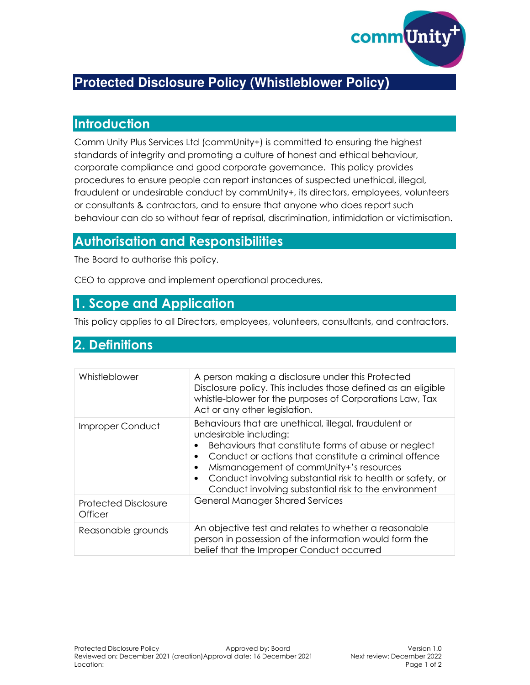

# **Protected Disclosure Policy (Whistleblower Policy)**

#### **Introduction**

Comm Unity Plus Services Ltd (commUnity+) is committed to ensuring the highest standards of integrity and promoting a culture of honest and ethical behaviour, corporate compliance and good corporate governance. This policy provides procedures to ensure people can report instances of suspected unethical, illegal, fraudulent or undesirable conduct by commUnity+, its directors, employees, volunteers or consultants & contractors, and to ensure that anyone who does report such behaviour can do so without fear of reprisal, discrimination, intimidation or victimisation.

## **Authorisation and Responsibilities**

The Board to authorise this policy.

CEO to approve and implement operational procedures.

#### **1. Scope and Application**

This policy applies to all Directors, employees, volunteers, consultants, and contractors.

#### **2. Definitions**

| Whistleblower                          | A person making a disclosure under this Protected<br>Disclosure policy. This includes those defined as an eligible<br>whistle-blower for the purposes of Corporations Law, Tax<br>Act or any other legislation.                                                                                                                                                                                           |
|----------------------------------------|-----------------------------------------------------------------------------------------------------------------------------------------------------------------------------------------------------------------------------------------------------------------------------------------------------------------------------------------------------------------------------------------------------------|
| Improper Conduct                       | Behaviours that are unethical, illegal, fraudulent or<br>undesirable including:<br>Behaviours that constitute forms of abuse or neglect<br>Conduct or actions that constitute a criminal offence<br>$\bullet$<br>Mismanagement of commUnity+'s resources<br>$\bullet$<br>Conduct involving substantial risk to health or safety, or<br>$\bullet$<br>Conduct involving substantial risk to the environment |
| <b>Protected Disclosure</b><br>Officer | <b>General Manager Shared Services</b>                                                                                                                                                                                                                                                                                                                                                                    |
| Reasonable grounds                     | An objective test and relates to whether a reasonable<br>person in possession of the information would form the<br>belief that the Improper Conduct occurred                                                                                                                                                                                                                                              |